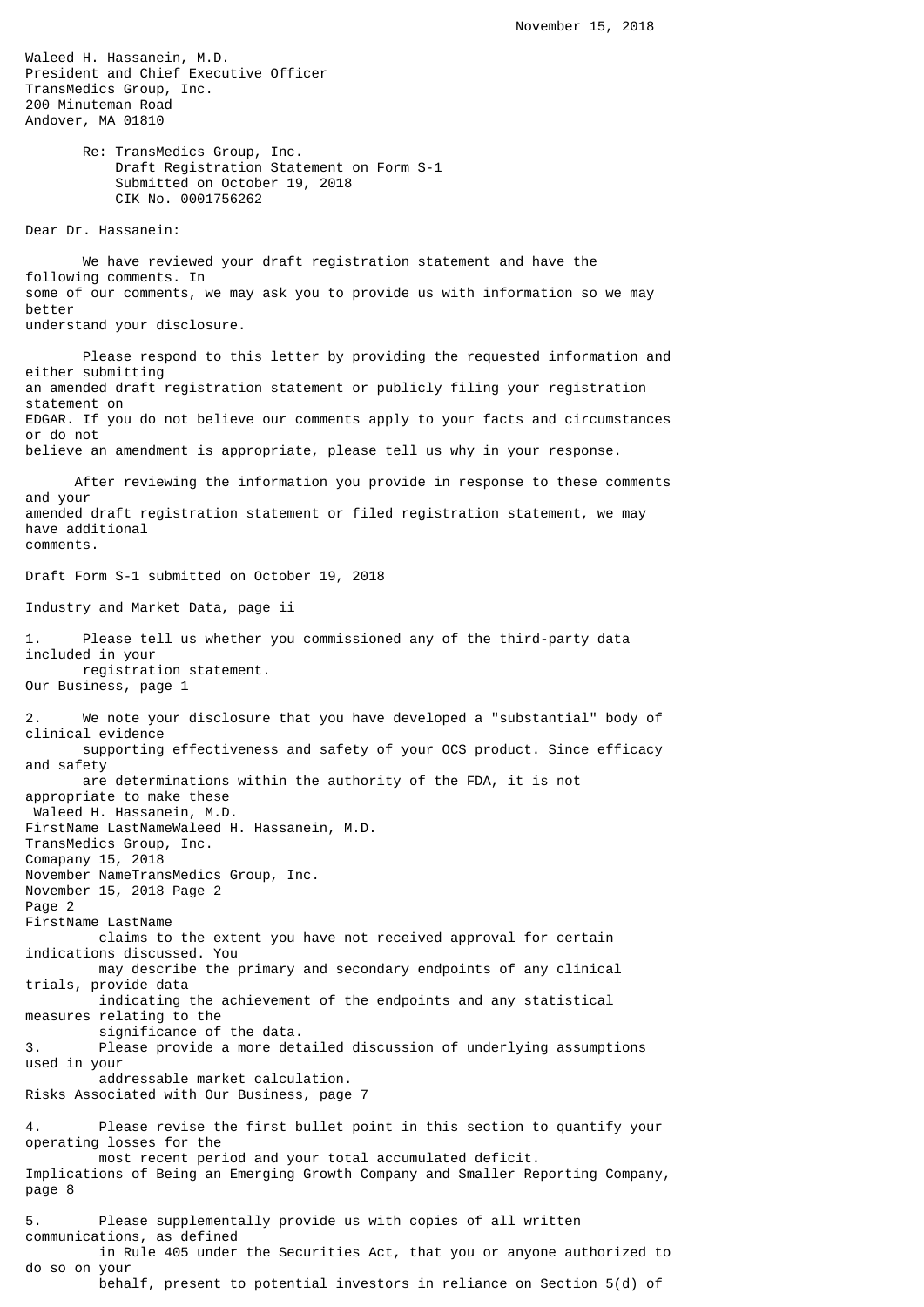Waleed H. Hassanein, M.D. President and Chief Executive Officer TransMedics Group, Inc. 200 Minuteman Road Andover, MA 01810 Re: TransMedics Group, Inc. Draft Registration Statement on Form S-1 Submitted on October 19, 2018 CIK No. 0001756262 Dear Dr. Hassanein: We have reviewed your draft registration statement and have the following comments. In some of our comments, we may ask you to provide us with information so we may better understand your disclosure. Please respond to this letter by providing the requested information and either submitting an amended draft registration statement or publicly filing your registration statement on EDGAR. If you do not believe our comments apply to your facts and circumstances or do not believe an amendment is appropriate, please tell us why in your response. After reviewing the information you provide in response to these comments and your amended draft registration statement or filed registration statement, we may have additional comments. Draft Form S-1 submitted on October 19, 2018 Industry and Market Data, page ii 1. Please tell us whether you commissioned any of the third-party data included in your registration statement. Our Business, page 1 We note your disclosure that you have developed a "substantial" body of clinical evidence supporting effectiveness and safety of your OCS product. Since efficacy and safety are determinations within the authority of the FDA, it is not appropriate to make these Waleed H. Hassanein, M.D. FirstName LastNameWaleed H. Hassanein, M.D. TransMedics Group, Inc. Comapany 15, 2018 November NameTransMedics Group, Inc. November 15, 2018 Page 2 Page 2 FirstName LastName claims to the extent you have not received approval for certain indications discussed. You may describe the primary and secondary endpoints of any clinical trials, provide data indicating the achievement of the endpoints and any statistical measures relating to the significance of the data. 3. Please provide a more detailed discussion of underlying assumptions used in your addressable market calculation. Risks Associated with Our Business, page 7 4. Please revise the first bullet point in this section to quantify your operating losses for the most recent period and your total accumulated deficit. Implications of Being an Emerging Growth Company and Smaller Reporting Company, page 8 5. Please supplementally provide us with copies of all written communications, as defined in Rule 405 under the Securities Act, that you or anyone authorized to do so on your behalf, present to potential investors in reliance on Section 5(d) of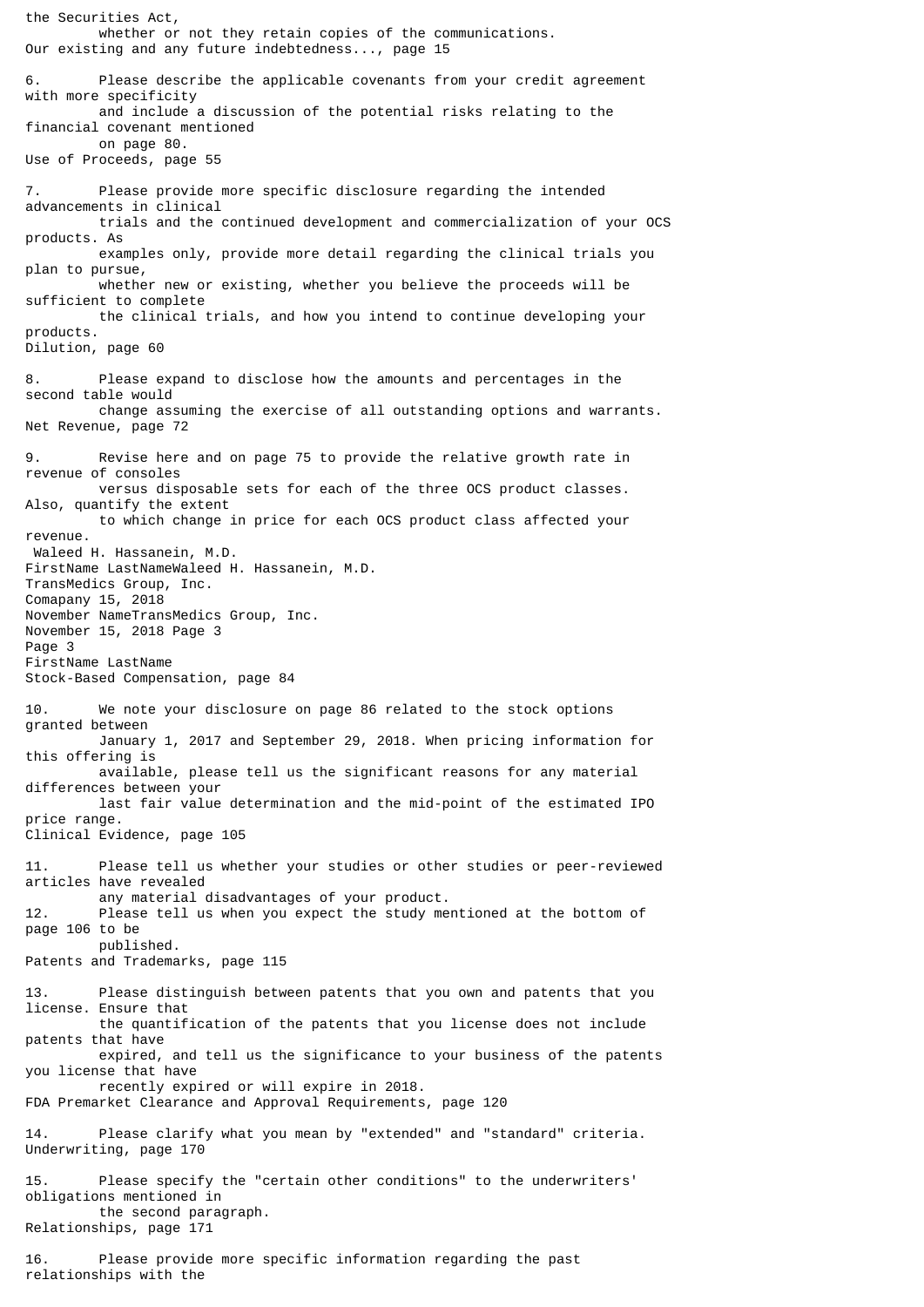the Securities Act, whether or not they retain copies of the communications. Our existing and any future indebtedness..., page 15 6. Please describe the applicable covenants from your credit agreement with more specificity and include a discussion of the potential risks relating to the financial covenant mentioned on page 80. Use of Proceeds, page 55 Please provide more specific disclosure regarding the intended advancements in clinical trials and the continued development and commercialization of your OCS products. As examples only, provide more detail regarding the clinical trials you plan to pursue, whether new or existing, whether you believe the proceeds will be sufficient to complete the clinical trials, and how you intend to continue developing your products. Dilution, page 60 8. Please expand to disclose how the amounts and percentages in the second table would change assuming the exercise of all outstanding options and warrants. Net Revenue, page 72 9. Revise here and on page 75 to provide the relative growth rate in revenue of consoles versus disposable sets for each of the three OCS product classes. Also, quantify the extent to which change in price for each OCS product class affected your revenue. Waleed H. Hassanein, M.D. FirstName LastNameWaleed H. Hassanein, M.D. TransMedics Group, Inc. Comapany 15, 2018 November NameTransMedics Group, Inc. November 15, 2018 Page 3 Page 3 FirstName LastName Stock-Based Compensation, page 84 10. We note your disclosure on page 86 related to the stock options granted between January 1, 2017 and September 29, 2018. When pricing information for this offering is available, please tell us the significant reasons for any material differences between your last fair value determination and the mid-point of the estimated IPO price range. Clinical Evidence, page 105 11. Please tell us whether your studies or other studies or peer-reviewed articles have revealed any material disadvantages of your product. 12. Please tell us when you expect the study mentioned at the bottom of page 106 to be published. Patents and Trademarks, page 115 13. Please distinguish between patents that you own and patents that you license. Ensure that the quantification of the patents that you license does not include patents that have expired, and tell us the significance to your business of the patents you license that have recently expired or will expire in 2018. FDA Premarket Clearance and Approval Requirements, page 120 14. Please clarify what you mean by "extended" and "standard" criteria. Underwriting, page 170 15. Please specify the "certain other conditions" to the underwriters' obligations mentioned in the second paragraph. Relationships, page 171 16. Please provide more specific information regarding the past relationships with the